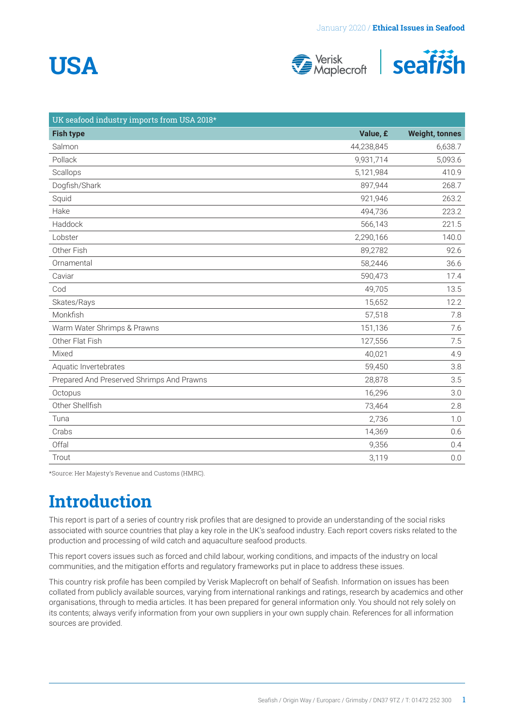# **USA**





| UK seafood industry imports from USA 2018* |            |                       |
|--------------------------------------------|------------|-----------------------|
| <b>Fish type</b>                           | Value, £   | <b>Weight, tonnes</b> |
| Salmon                                     | 44,238,845 | 6,638.7               |
| Pollack                                    | 9,931,714  | 5,093.6               |
| Scallops                                   | 5,121,984  | 410.9                 |
| Dogfish/Shark                              | 897,944    | 268.7                 |
| Squid                                      | 921,946    | 263.2                 |
| Hake                                       | 494,736    | 223.2                 |
| Haddock                                    | 566,143    | 221.5                 |
| Lobster                                    | 2,290,166  | 140.0                 |
| Other Fish                                 | 89,2782    | 92.6                  |
| Ornamental                                 | 58,2446    | 36.6                  |
| Caviar                                     | 590,473    | 17.4                  |
| Cod                                        | 49,705     | 13.5                  |
| Skates/Rays                                | 15,652     | 12.2                  |
| Monkfish                                   | 57,518     | 7.8                   |
| Warm Water Shrimps & Prawns                | 151,136    | 7.6                   |
| Other Flat Fish                            | 127,556    | 7.5                   |
| Mixed                                      | 40,021     | 4.9                   |
| Aquatic Invertebrates                      | 59,450     | 3.8                   |
| Prepared And Preserved Shrimps And Prawns  | 28,878     | 3.5                   |
| Octopus                                    | 16,296     | 3.0                   |
| Other Shellfish                            | 73,464     | 2.8                   |
| Tuna                                       | 2,736      | 1.0                   |
| Crabs                                      | 14,369     | 0.6                   |
| Offal                                      | 9,356      | 0.4                   |
| Trout                                      | 3,119      | 0.0                   |

\*Source: Her Majesty's Revenue and Customs (HMRC).

### **Introduction**

This report is part of a series of country risk profiles that are designed to provide an understanding of the social risks associated with source countries that play a key role in the UK's seafood industry. Each report covers risks related to the production and processing of wild catch and aquaculture seafood products.

This report covers issues such as forced and child labour, working conditions, and impacts of the industry on local communities, and the mitigation efforts and regulatory frameworks put in place to address these issues.

This country risk profile has been compiled by Verisk Maplecroft on behalf of Seafish. Information on issues has been collated from publicly available sources, varying from international rankings and ratings, research by academics and other organisations, through to media articles. It has been prepared for general information only. You should not rely solely on its contents; always verify information from your own suppliers in your own supply chain. References for all information sources are provided.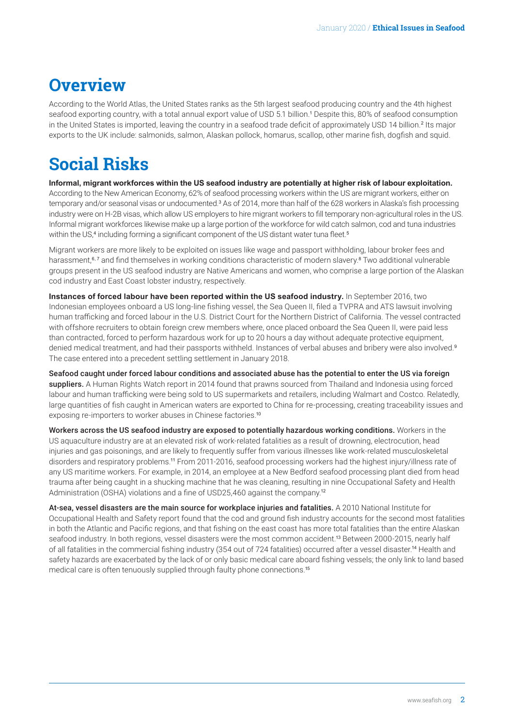### <span id="page-1-0"></span>**Overview**

According to the World Atlas, the United States ranks as the 5th largest seafood producing country and the 4th highest seafood exporting country, with a total annual export value of USD 5.1 billion.[1](#page-4-0) Despite this, 80% of seafood consumption in the United States is imported, leaving the country in a seafood trade deficit of approximately USD 14 billion.<sup>[2](#page-4-0)</sup> Its major exports to the UK include: salmonids, salmon, Alaskan pollock, homarus, scallop, other marine fish, dogfish and squid.

### **Social Risks**

**Informal, migrant workforces within the US seafood industry are potentially at higher risk of labour exploitation.**  According to the New American Economy, 62% of seafood processing workers within the US are migrant workers, either on temporary and/or seasonal visas or undocumented.<sup>[3](#page-4-0)</sup> As of 2014, more than half of the 628 workers in Alaska's fish processing industry were on H-2B visas, which allow US employers to hire migrant workers to fill temporary non-agricultural roles in the US. Informal migrant workforces likewise make up a large portion of the workforce for wild catch salmon, cod and tuna industries within the US,<sup>[4](#page-4-0)</sup> including forming a significant component of the US distant water tuna fleet.<sup>[5](#page-4-0)</sup>

Migrant workers are more likely to be exploited on issues like wage and passport withholding, labour broker fees and harassment,<sup>[6, 7](#page-4-0)</sup> and find themselves in working conditions characteristic of modern slavery.<sup>[8](#page-4-0)</sup> Two additional vulnerable groups present in the US seafood industry are Native Americans and women, who comprise a large portion of the Alaskan cod industry and East Coast lobster industry, respectively.

**Instances of forced labour have been reported within the US seafood industry.** In September 2016, two Indonesian employees onboard a US long-line fishing vessel, the Sea Queen II, filed a TVPRA and ATS lawsuit involving human trafficking and forced labour in the U.S. District Court for the Northern District of California. The vessel contracted with offshore recruiters to obtain foreign crew members where, once placed onboard the Sea Queen II, were paid less than contracted, forced to perform hazardous work for up to 20 hours a day without adequate protective equipment, denied medical treatment, and had their passports withheld. Instances of verbal abuses and bribery were also involved.<sup>[9](#page-4-0)</sup> The case entered into a precedent settling settlement in January 2018.

Seafood caught under forced labour conditions and associated abuse has the potential to enter the US via foreign suppliers. A Human Rights Watch report in 2014 found that prawns sourced from Thailand and Indonesia using forced labour and human trafficking were being sold to US supermarkets and retailers, including Walmart and Costco. Relatedly, large quantities of fish caught in American waters are exported to China for re-processing, creating traceability issues and exposing re-importers to worker abuses in Chinese factories.[10](#page-4-0)

Workers across the US seafood industry are exposed to potentially hazardous working conditions. Workers in the US aquaculture industry are at an elevated risk of work-related fatalities as a result of drowning, electrocution, head injuries and gas poisonings, and are likely to frequently suffer from various illnesses like work-related musculoskeletal disorders and respiratory problems.[11](#page-4-0) From 2011-2016, seafood processing workers had the highest injury/illness rate of any US maritime workers. For example, in 2014, an employee at a New Bedford seafood processing plant died from head trauma after being caught in a shucking machine that he was cleaning, resulting in nine Occupational Safety and Health Administration (OSHA) violations and a fine of USD25,460 against the company.[12](#page-4-0)

At-sea, vessel disasters are the main source for workplace injuries and fatalities. A 2010 National Institute for Occupational Health and Safety report found that the cod and ground fish industry accounts for the second most fatalities in both the Atlantic and Pacific regions, and that fishing on the east coast has more total fatalities than the entire Alaskan seafood industry. In both regions, vessel disasters were the most common accident.[13](#page-4-0) Between 2000-2015, nearly half of all fatalities in the commercial fishing industry (354 out of 724 fatalities) occurred after a vessel disaster.[14](#page-4-0) Health and safety hazards are exacerbated by the lack of or only basic medical care aboard fishing vessels; the only link to land based medical care is often tenuously supplied through faulty phone connections.<sup>[15](#page-4-0)</sup>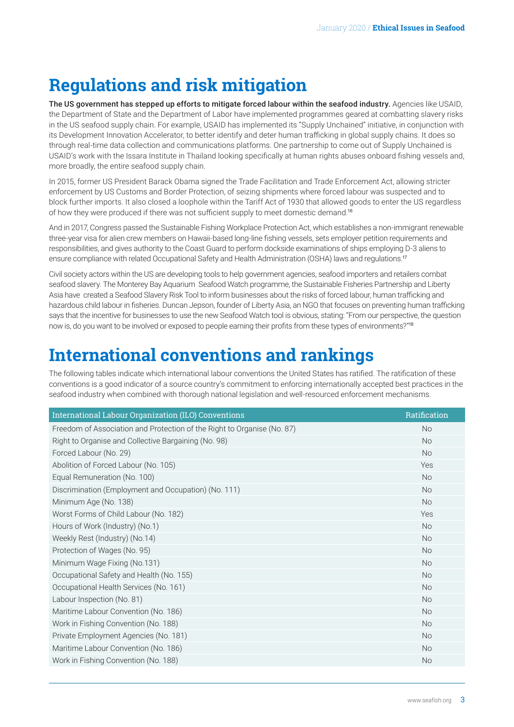### <span id="page-2-0"></span>**Regulations and risk mitigation**

The US government has stepped up efforts to mitigate forced labour within the seafood industry. Agencies like USAID, the Department of State and the Department of Labor have implemented programmes geared at combatting slavery risks in the US seafood supply chain. For example, USAID has implemented its "Supply Unchained" initiative, in conjunction with its Development Innovation Accelerator, to better identify and deter human trafficking in global supply chains. It does so through real-time data collection and communications platforms. One partnership to come out of Supply Unchained is USAID's work with the Issara Institute in Thailand looking specifically at human rights abuses onboard fishing vessels and, more broadly, the entire seafood supply chain.

In 2015, former US President Barack Obama signed the Trade Facilitation and Trade Enforcement Act, allowing stricter enforcement by US Customs and Border Protection, of seizing shipments where forced labour was suspected and to block further imports. It also closed a loophole within the Tariff Act of 1930 that allowed goods to enter the US regardless of how they were produced if there was not sufficient supply to meet domestic demand.[16](#page-4-0)

And in 2017, Congress passed the Sustainable Fishing Workplace Protection Act, which establishes a non-immigrant renewable three-year visa for alien crew members on Hawaii-based long-line fishing vessels, sets employer petition requirements and responsibilities, and gives authority to the Coast Guard to perform dockside examinations of ships employing D-3 aliens to ensure compliance with related Occupational Safety and Health Administration (OSHA) laws and regulations.<sup>[17](#page-4-0)</sup>

Civil society actors within the US are developing tools to help government agencies, seafood importers and retailers combat seafood slavery. The Monterey Bay Aquarium Seafood Watch programme, the Sustainable Fisheries Partnership and Liberty Asia have created a Seafood Slavery Risk Tool to inform businesses about the risks of forced labour, human trafficking and hazardous child labour in fisheries. Duncan Jepson, founder of Liberty Asia, an NGO that focuses on preventing human trafficking says that the incentive for businesses to use the new Seafood Watch tool is obvious, stating: "From our perspective, the question now is, do you want to be involved or exposed to people earning their profits from these types of environments?"[18](#page-4-0)

### **International conventions and rankings**

The following tables indicate which international labour conventions the United States has ratified. The ratification of these conventions is a good indicator of a source country's commitment to enforcing internationally accepted best practices in the seafood industry when combined with thorough national legislation and well-resourced enforcement mechanisms.

| International Labour Organization (ILO) Conventions                     | Ratification |
|-------------------------------------------------------------------------|--------------|
| Freedom of Association and Protection of the Right to Organise (No. 87) | No           |
| Right to Organise and Collective Bargaining (No. 98)                    | No           |
| Forced Labour (No. 29)                                                  | <b>No</b>    |
| Abolition of Forced Labour (No. 105)                                    | Yes          |
| Equal Remuneration (No. 100)                                            | No           |
| Discrimination (Employment and Occupation) (No. 111)                    | No           |
| Minimum Age (No. 138)                                                   | <b>No</b>    |
| Worst Forms of Child Labour (No. 182)                                   | Yes          |
| Hours of Work (Industry) (No.1)                                         | <b>No</b>    |
| Weekly Rest (Industry) (No.14)                                          | No           |
| Protection of Wages (No. 95)                                            | No           |
| Minimum Wage Fixing (No.131)                                            | <b>No</b>    |
| Occupational Safety and Health (No. 155)                                | No           |
| Occupational Health Services (No. 161)                                  | <b>No</b>    |
| Labour Inspection (No. 81)                                              | No           |
| Maritime Labour Convention (No. 186)                                    | <b>No</b>    |
| Work in Fishing Convention (No. 188)                                    | No           |
| Private Employment Agencies (No. 181)                                   | <b>No</b>    |
| Maritime Labour Convention (No. 186)                                    | No           |
| Work in Fishing Convention (No. 188)                                    | No           |
|                                                                         |              |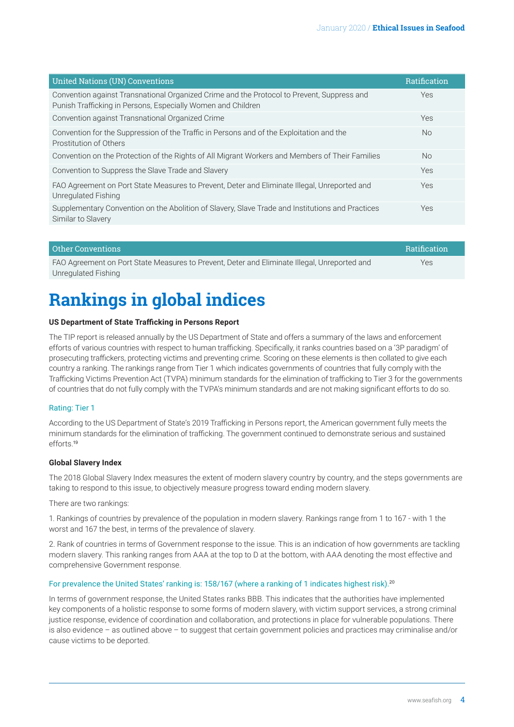<span id="page-3-0"></span>

| <b>United Nations (UN) Conventions</b>                                                                                                                     | Ratification |
|------------------------------------------------------------------------------------------------------------------------------------------------------------|--------------|
| Convention against Transnational Organized Crime and the Protocol to Prevent, Suppress and<br>Punish Trafficking in Persons, Especially Women and Children | Yes          |
| Convention against Transnational Organized Crime                                                                                                           | Yes          |
| Convention for the Suppression of the Traffic in Persons and of the Exploitation and the<br>Prostitution of Others                                         | No.          |
| Convention on the Protection of the Rights of All Migrant Workers and Members of Their Families                                                            | <b>No</b>    |
| Convention to Suppress the Slave Trade and Slavery                                                                                                         | Yes          |
| FAO Agreement on Port State Measures to Prevent, Deter and Eliminate Illegal, Unreported and<br>Unregulated Fishing                                        | Yes          |
| Supplementary Convention on the Abolition of Slavery, Slave Trade and Institutions and Practices<br>Similar to Slavery                                     | <b>Yes</b>   |

| Other Conventions                                                                            | <b>Ratification</b> |
|----------------------------------------------------------------------------------------------|---------------------|
| FAO Agreement on Port State Measures to Prevent, Deter and Eliminate Illegal, Unreported and | Yes                 |
| Unregulated Fishing                                                                          |                     |

## **Rankings in global indices**

#### **US Department of State Trafficking in Persons Report**

The TIP report is released annually by the US Department of State and offers a summary of the laws and enforcement efforts of various countries with respect to human trafficking. Specifically, it ranks countries based on a '3P paradigm' of prosecuting traffickers, protecting victims and preventing crime. Scoring on these elements is then collated to give each country a ranking. The rankings range from Tier 1 which indicates governments of countries that fully comply with the Trafficking Victims Prevention Act (TVPA) minimum standards for the elimination of trafficking to Tier 3 for the governments of countries that do not fully comply with the TVPA's minimum standards and are not making significant efforts to do so.

#### Rating: Tier 1

According to the US Department of State's 2019 Trafficking in Persons report, the American government fully meets the minimum standards for the elimination of trafficking. The government continued to demonstrate serious and sustained efforts.[19](#page-4-0)

#### **Global Slavery Index**

The 2018 Global Slavery Index measures the extent of modern slavery country by country, and the steps governments are taking to respond to this issue, to objectively measure progress toward ending modern slavery.

There are two rankings:

1. Rankings of countries by prevalence of the population in modern slavery. Rankings range from 1 to 167 - with 1 the worst and 167 the best, in terms of the prevalence of slavery.

2. Rank of countries in terms of Government response to the issue. This is an indication of how governments are tackling modern slavery. This ranking ranges from AAA at the top to D at the bottom, with AAA denoting the most effective and comprehensive Government response.

#### For prevalence the United States' ranking is: 158/167 (where a ranking of 1 indicates highest risk).[20](#page-4-0)

In terms of government response, the United States ranks BBB. This indicates that the authorities have implemented key components of a holistic response to some forms of modern slavery, with victim support services, a strong criminal justice response, evidence of coordination and collaboration, and protections in place for vulnerable populations. There is also evidence – as outlined above – to suggest that certain government policies and practices may criminalise and/or cause victims to be deported.